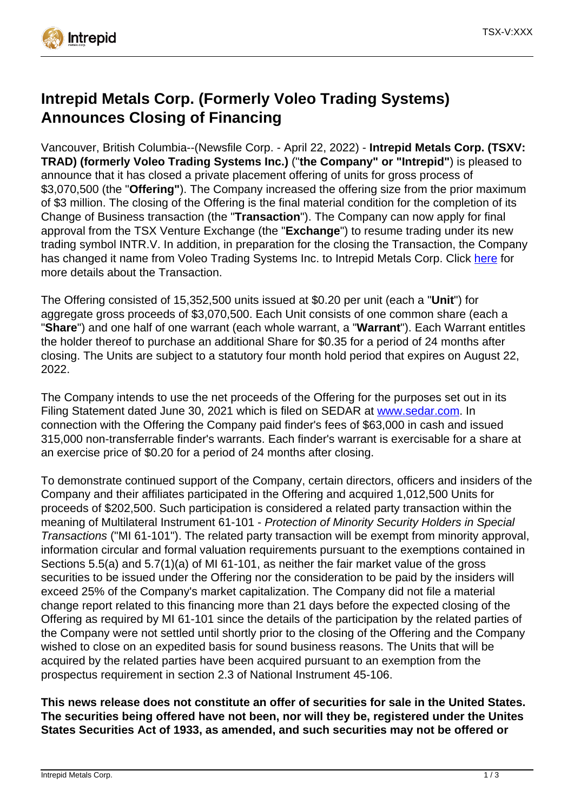

# **Intrepid Metals Corp. (Formerly Voleo Trading Systems) Announces Closing of Financing**

Vancouver, British Columbia--(Newsfile Corp. - April 22, 2022) - **Intrepid Metals Corp. (TSXV: TRAD) (formerly Voleo Trading Systems Inc.)** ("**the Company" or "Intrepid"**) is pleased to announce that it has closed a private placement offering of units for gross process of \$3,070,500 (the "**Offering"**). The Company increased the offering size from the prior maximum of \$3 million. The closing of the Offering is the final material condition for the completion of its Change of Business transaction (the "**Transaction**"). The Company can now apply for final approval from the TSX Venture Exchange (the "**Exchange**") to resume trading under its new trading symbol INTR.V. In addition, in preparation for the closing the Transaction, the Company has changed it name from Voleo Trading Systems Inc. to Intrepid Metals Corp. Click [here](https://www.newsfilecorp.com/redirect/ErxwKsMjNY) for more details about the Transaction.

The Offering consisted of 15,352,500 units issued at \$0.20 per unit (each a "**Unit**") for aggregate gross proceeds of \$3,070,500. Each Unit consists of one common share (each a "**Share**") and one half of one warrant (each whole warrant, a "**Warrant**"). Each Warrant entitles the holder thereof to purchase an additional Share for \$0.35 for a period of 24 months after closing. The Units are subject to a statutory four month hold period that expires on August 22, 2022.

The Company intends to use the net proceeds of the Offering for the purposes set out in its Filing Statement dated June 30, 2021 which is filed on SEDAR at [www.sedar.com.](https://www.newsfilecorp.com/redirect/xOQoncQKLz) In connection with the Offering the Company paid finder's fees of \$63,000 in cash and issued 315,000 non-transferrable finder's warrants. Each finder's warrant is exercisable for a share at an exercise price of \$0.20 for a period of 24 months after closing.

To demonstrate continued support of the Company, certain directors, officers and insiders of the Company and their affiliates participated in the Offering and acquired 1,012,500 Units for proceeds of \$202,500. Such participation is considered a related party transaction within the meaning of Multilateral Instrument 61-101 - Protection of Minority Security Holders in Special Transactions ("MI 61-101"). The related party transaction will be exempt from minority approval, information circular and formal valuation requirements pursuant to the exemptions contained in Sections 5.5(a) and 5.7(1)(a) of MI 61-101, as neither the fair market value of the gross securities to be issued under the Offering nor the consideration to be paid by the insiders will exceed 25% of the Company's market capitalization. The Company did not file a material change report related to this financing more than 21 days before the expected closing of the Offering as required by MI 61-101 since the details of the participation by the related parties of the Company were not settled until shortly prior to the closing of the Offering and the Company wished to close on an expedited basis for sound business reasons. The Units that will be acquired by the related parties have been acquired pursuant to an exemption from the prospectus requirement in section 2.3 of National Instrument 45-106.

**This news release does not constitute an offer of securities for sale in the United States. The securities being offered have not been, nor will they be, registered under the Unites States Securities Act of 1933, as amended, and such securities may not be offered or**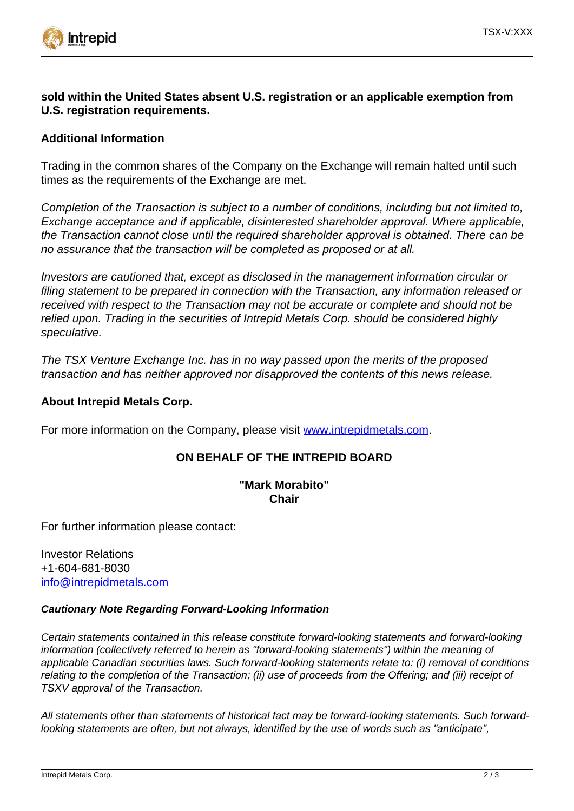

## **sold within the United States absent U.S. registration or an applicable exemption from U.S. registration requirements.**

## **Additional Information**

Trading in the common shares of the Company on the Exchange will remain halted until such times as the requirements of the Exchange are met.

Completion of the Transaction is subject to a number of conditions, including but not limited to, Exchange acceptance and if applicable, disinterested shareholder approval. Where applicable, the Transaction cannot close until the required shareholder approval is obtained. There can be no assurance that the transaction will be completed as proposed or at all.

Investors are cautioned that, except as disclosed in the management information circular or filing statement to be prepared in connection with the Transaction, any information released or received with respect to the Transaction may not be accurate or complete and should not be relied upon. Trading in the securities of Intrepid Metals Corp. should be considered highly speculative.

The TSX Venture Exchange Inc. has in no way passed upon the merits of the proposed transaction and has neither approved nor disapproved the contents of this news release.

### **About Intrepid Metals Corp.**

For more information on the Company, please visit [www.intrepidmetals.com.](https://www.newsfilecorp.com/redirect/7ex4KcZMWM)

### **ON BEHALF OF THE INTREPID BOARD**

### **"Mark Morabito" Chair**

For further information please contact:

Investor Relations +1-604-681-8030 [info@intrepidmetals.com](mailto:info@intrepidmetals.com)

#### **Cautionary Note Regarding Forward-Looking Information**

Certain statements contained in this release constitute forward-looking statements and forward-looking information (collectively referred to herein as "forward-looking statements") within the meaning of applicable Canadian securities laws. Such forward-looking statements relate to: (i) removal of conditions relating to the completion of the Transaction; (ii) use of proceeds from the Offering; and (iii) receipt of TSXV approval of the Transaction.

All statements other than statements of historical fact may be forward-looking statements. Such forwardlooking statements are often, but not always, identified by the use of words such as "anticipate",